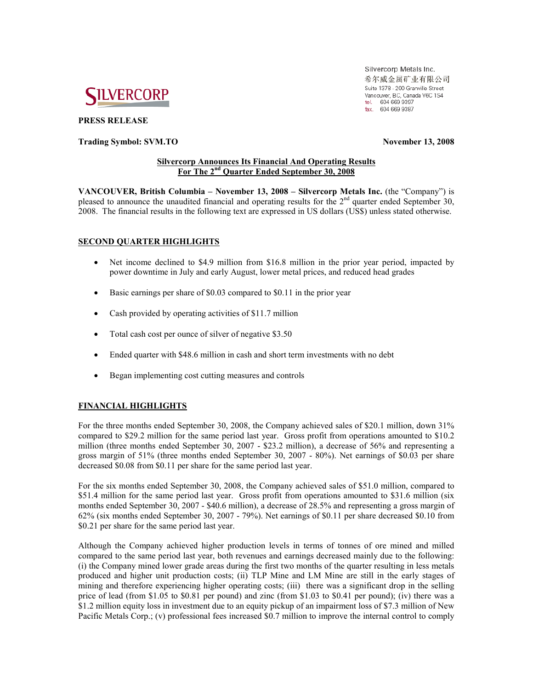

**PRESS RELEASE** 

## **Trading Symbol: SVM.TO November 13, 2008**

Silvercorp Metals Inc. 希尔威金属矿业有限公司 Suite 1378 - 200 Granville Street Vancouver, BC, Canada V6C 1S4 tel. 604 669 9397 fax: 604 669 9387

## **Silvercorp Announces Its Financial And Operating Results For The 2nd Quarter Ended September 30, 2008**

**VANCOUVER, British Columbia – November 13, 2008 – Silvercorp Metals Inc.** (the "Company") is pleased to announce the unaudited financial and operating results for the 2<sup>nd</sup> quarter ended September 30, 2008. The financial results in the following text are expressed in US dollars (US\$) unless stated otherwise.

# **SECOND QUARTER HIGHLIGHTS**

- Net income declined to \$4.9 million from \$16.8 million in the prior year period, impacted by power downtime in July and early August, lower metal prices, and reduced head grades
- Basic earnings per share of \$0.03 compared to \$0.11 in the prior year
- Cash provided by operating activities of \$11.7 million
- Total cash cost per ounce of silver of negative \$3.50
- Ended quarter with \$48.6 million in cash and short term investments with no debt
- Began implementing cost cutting measures and controls

# **FINANCIAL HIGHLIGHTS**

For the three months ended September 30, 2008, the Company achieved sales of \$20.1 million, down 31% compared to \$29.2 million for the same period last year. Gross profit from operations amounted to \$10.2 million (three months ended September 30, 2007 - \$23.2 million), a decrease of 56% and representing a gross margin of 51% (three months ended September 30, 2007 - 80%). Net earnings of \$0.03 per share decreased \$0.08 from \$0.11 per share for the same period last year.

For the six months ended September 30, 2008, the Company achieved sales of \$51.0 million, compared to \$51.4 million for the same period last year. Gross profit from operations amounted to \$31.6 million (six months ended September 30, 2007 - \$40.6 million), a decrease of 28.5% and representing a gross margin of 62% (six months ended September 30, 2007 - 79%). Net earnings of \$0.11 per share decreased \$0.10 from \$0.21 per share for the same period last year.

Although the Company achieved higher production levels in terms of tonnes of ore mined and milled compared to the same period last year, both revenues and earnings decreased mainly due to the following: (i) the Company mined lower grade areas during the first two months of the quarter resulting in less metals produced and higher unit production costs; (ii) TLP Mine and LM Mine are still in the early stages of mining and therefore experiencing higher operating costs; (iii) there was a significant drop in the selling price of lead (from \$1.05 to \$0.81 per pound) and zinc (from \$1.03 to \$0.41 per pound); (iv) there was a \$1.2 million equity loss in investment due to an equity pickup of an impairment loss of \$7.3 million of New Pacific Metals Corp.; (v) professional fees increased \$0.7 million to improve the internal control to comply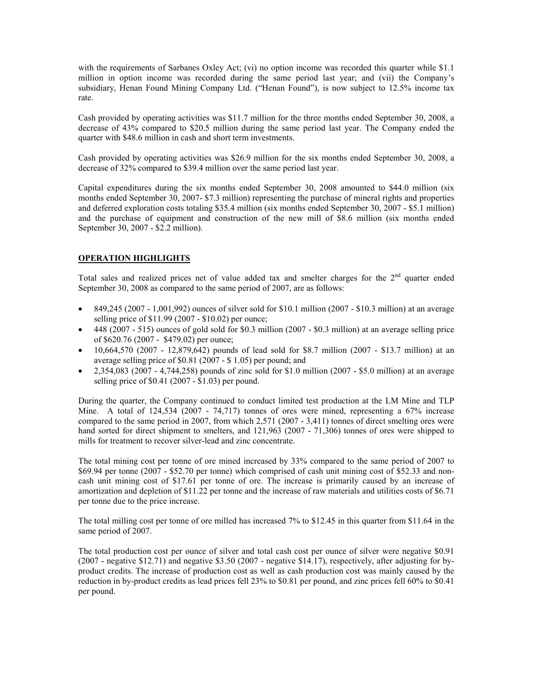with the requirements of Sarbanes Oxley Act; (vi) no option income was recorded this quarter while \$1.1 million in option income was recorded during the same period last year; and (vii) the Company's subsidiary, Henan Found Mining Company Ltd. ("Henan Found"), is now subject to 12.5% income tax rate.

Cash provided by operating activities was \$11.7 million for the three months ended September 30, 2008, a decrease of 43% compared to \$20.5 million during the same period last year. The Company ended the quarter with \$48.6 million in cash and short term investments.

Cash provided by operating activities was \$26.9 million for the six months ended September 30, 2008, a decrease of 32% compared to \$39.4 million over the same period last year.

Capital expenditures during the six months ended September 30, 2008 amounted to \$44.0 million (six months ended September 30, 2007- \$7.3 million) representing the purchase of mineral rights and properties and deferred exploration costs totaling \$35.4 million (six months ended September 30, 2007 - \$5.1 million) and the purchase of equipment and construction of the new mill of \$8.6 million (six months ended September 30, 2007 - \$2.2 million).

# **OPERATION HIGHLIGHTS**

Total sales and realized prices net of value added tax and smelter charges for the  $2<sup>nd</sup>$  quarter ended September 30, 2008 as compared to the same period of 2007, are as follows:

- 849,245 (2007 1,001,992) ounces of silver sold for \$10.1 million (2007 \$10.3 million) at an average selling price of \$11.99 (2007 - \$10.02) per ounce;
- $\bullet$  448 (2007 515) ounces of gold sold for \$0.3 million (2007 \$0.3 million) at an average selling price of \$620.76 (2007 - \$479.02) per ounce;
- $10,664,570$  (2007 12,879,642) pounds of lead sold for \$8.7 million (2007 \$13.7 million) at an average selling price of \$0.81 (2007 - \$ 1.05) per pound; and
- 2,354,083 (2007 4,744,258) pounds of zinc sold for \$1.0 million (2007 \$5.0 million) at an average selling price of \$0.41 (2007 - \$1.03) per pound.

During the quarter, the Company continued to conduct limited test production at the LM Mine and TLP Mine. A total of 124,534 (2007 - 74,717) tonnes of ores were mined, representing a 67% increase compared to the same period in 2007, from which 2,571 (2007 - 3,411) tonnes of direct smelting ores were hand sorted for direct shipment to smelters, and 121,963 (2007 - 71,306) tonnes of ores were shipped to mills for treatment to recover silver-lead and zinc concentrate.

The total mining cost per tonne of ore mined increased by 33% compared to the same period of 2007 to \$69.94 per tonne (2007 - \$52.70 per tonne) which comprised of cash unit mining cost of \$52.33 and noncash unit mining cost of \$17.61 per tonne of ore. The increase is primarily caused by an increase of amortization and depletion of \$11.22 per tonne and the increase of raw materials and utilities costs of \$6.71 per tonne due to the price increase.

The total milling cost per tonne of ore milled has increased 7% to \$12.45 in this quarter from \$11.64 in the same period of 2007.

The total production cost per ounce of silver and total cash cost per ounce of silver were negative \$0.91 (2007 - negative \$12.71) and negative \$3.50 (2007 - negative \$14.17), respectively, after adjusting for byproduct credits. The increase of production cost as well as cash production cost was mainly caused by the reduction in by-product credits as lead prices fell 23% to \$0.81 per pound, and zinc prices fell 60% to \$0.41 per pound.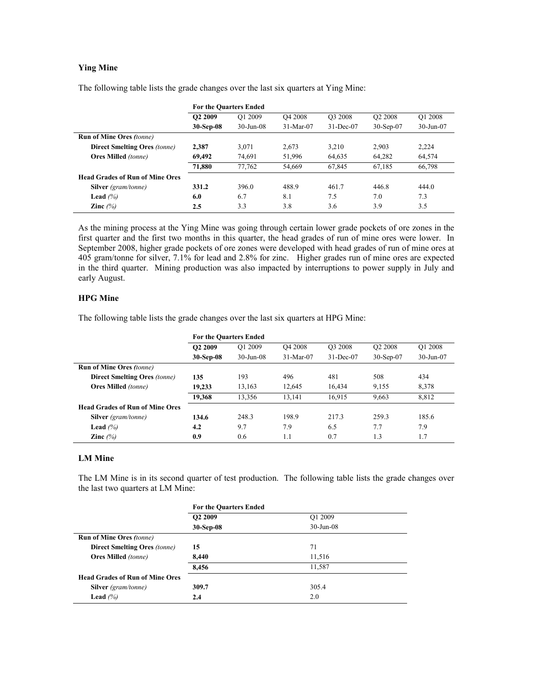# **Ying Mine**

|                                        | <b>For the Quarters Ended</b> |                 |                     |                     |                     |               |  |  |
|----------------------------------------|-------------------------------|-----------------|---------------------|---------------------|---------------------|---------------|--|--|
|                                        | O <sub>2</sub> 2009           | O1 2009         | O <sub>4</sub> 2008 | O <sub>3</sub> 2008 | O <sub>2</sub> 2008 | O1 2008       |  |  |
|                                        | $30-Sep-08$                   | $30 - Jun - 08$ | $31-Mar-07$         | 31-Dec-07           | $30-Sep-07$         | $30 - Jun-07$ |  |  |
| <b>Run of Mine Ores (tonne)</b>        |                               |                 |                     |                     |                     |               |  |  |
| <b>Direct Smelting Ores (tonne)</b>    | 2.387                         | 3.071           | 2,673               | 3,210               | 2.903               | 2,224         |  |  |
| <b>Ores Milled</b> (tonne)             | 69,492                        | 74,691          | 51,996              | 64,635              | 64,282              | 64,574        |  |  |
|                                        | 71.880                        | 77,762          | 54,669              | 67,845              | 67,185              | 66,798        |  |  |
| <b>Head Grades of Run of Mine Ores</b> |                               |                 |                     |                     |                     |               |  |  |
| <b>Silver</b> (gram/tonne)             | 331.2                         | 396.0           | 488.9               | 461.7               | 446.8               | 444.0         |  |  |
| Lead $(%$                              | 6.0                           | 6.7             | 8.1                 | 7.5                 | 7.0                 | 7.3           |  |  |
| Zinc $(%$                              | 2.5                           | 3.3             | 3.8                 | 3.6                 | 3.9                 | 3.5           |  |  |

The following table lists the grade changes over the last six quarters at Ying Mine:

As the mining process at the Ying Mine was going through certain lower grade pockets of ore zones in the first quarter and the first two months in this quarter, the head grades of run of mine ores were lower. In September 2008, higher grade pockets of ore zones were developed with head grades of run of mine ores at 405 gram/tonne for silver, 7.1% for lead and 2.8% for zinc. Higher grades run of mine ores are expected in the third quarter. Mining production was also impacted by interruptions to power supply in July and early August.

#### **HPG Mine**

The following table lists the grade changes over the last six quarters at HPG Mine:

|                                        | <b>For the Quarters Ended</b> |              |                     |                     |                     |               |  |  |
|----------------------------------------|-------------------------------|--------------|---------------------|---------------------|---------------------|---------------|--|--|
|                                        | O <sub>2</sub> 2009           | O1 2009      | O <sub>4</sub> 2008 | O <sub>3</sub> 2008 | O <sub>2</sub> 2008 | O1 2008       |  |  |
|                                        | $30-Sep-08$                   | $30$ -Jun-08 | $31-Mar-07$         | $31 - Dec-07$       | $30-Sep-07$         | $30 - Jun-07$ |  |  |
| <b>Run of Mine Ores (tonne)</b>        |                               |              |                     |                     |                     |               |  |  |
| <b>Direct Smelting Ores (tonne)</b>    | 135                           | 193          | 496                 | 481                 | 508                 | 434           |  |  |
| <b>Ores Milled</b> (tonne)             | 19,233                        | 13,163       | 12,645              | 16,434              | 9,155               | 8,378         |  |  |
|                                        | 19,368                        | 13,356       | 13,141              | 16.915              | 9,663               | 8,812         |  |  |
| <b>Head Grades of Run of Mine Ores</b> |                               |              |                     |                     |                     |               |  |  |
| <b>Silver</b> (gram/tonne)             | 134.6                         | 248.3        | 198.9               | 217.3               | 259.3               | 185.6         |  |  |
| Lead $(%$                              | 4.2                           | 9.7          | 7.9                 | 6.5                 | 7.7                 | 7.9           |  |  |
| Zinc $(%$                              | 0.9                           | 0.6          | 1.1                 | 0.7                 | 1.3                 | 1.7           |  |  |

#### **LM Mine**

The LM Mine is in its second quarter of test production. The following table lists the grade changes over the last two quarters at LM Mine:

|                                        | <b>For the Quarters Ended</b> |              |  |
|----------------------------------------|-------------------------------|--------------|--|
|                                        | O <sub>2</sub> 2009           | O1 2009      |  |
|                                        | 30-Sep-08                     | $30$ -Jun-08 |  |
| <b>Run of Mine Ores (tonne)</b>        |                               |              |  |
| <b>Direct Smelting Ores (tonne)</b>    | 15                            | 71           |  |
| <b>Ores Milled</b> (tonne)             | 8,440                         | 11,516       |  |
|                                        | 8,456                         | 11,587       |  |
| <b>Head Grades of Run of Mine Ores</b> |                               |              |  |
| <b>Silver</b> (gram/tonne)             | 309.7                         | 305.4        |  |
| Lead $(%$                              | 2.4                           | 2.0          |  |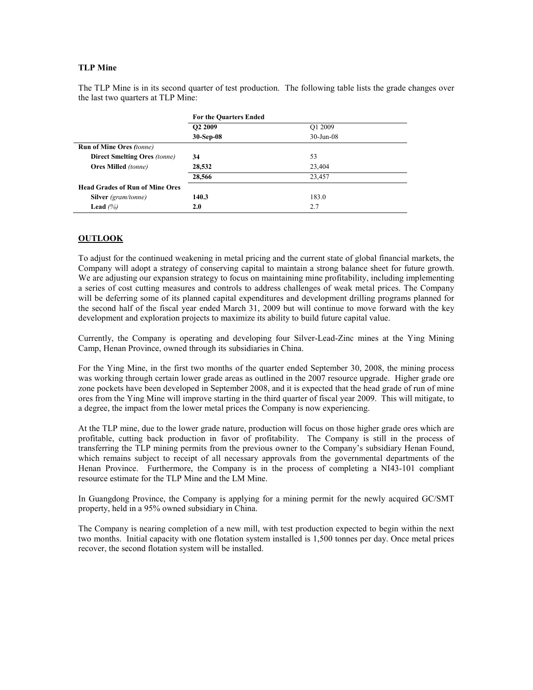# **TLP Mine**

The TLP Mine is in its second quarter of test production. The following table lists the grade changes over the last two quarters at TLP Mine:

|                                        | <b>For the Quarters Ended</b> |              |
|----------------------------------------|-------------------------------|--------------|
|                                        | O <sub>2</sub> 2009           | O1 2009      |
|                                        | 30-Sep-08                     | $30$ -Jun-08 |
| <b>Run of Mine Ores (tonne)</b>        |                               |              |
| <b>Direct Smelting Ores (tonne)</b>    | 34                            | 53           |
| <b>Ores Milled</b> (tonne)             | 28,532                        | 23,404       |
|                                        | 28,566                        | 23,457       |
| <b>Head Grades of Run of Mine Ores</b> |                               |              |
| <b>Silver</b> (gram/tonne)             | 140.3                         | 183.0        |
| Lead $(%$                              | 2.0                           | 2.7          |

# **OUTLOOK**

To adjust for the continued weakening in metal pricing and the current state of global financial markets, the Company will adopt a strategy of conserving capital to maintain a strong balance sheet for future growth. We are adjusting our expansion strategy to focus on maintaining mine profitability, including implementing a series of cost cutting measures and controls to address challenges of weak metal prices. The Company will be deferring some of its planned capital expenditures and development drilling programs planned for the second half of the fiscal year ended March 31, 2009 but will continue to move forward with the key development and exploration projects to maximize its ability to build future capital value.

Currently, the Company is operating and developing four Silver-Lead-Zinc mines at the Ying Mining Camp, Henan Province, owned through its subsidiaries in China.

For the Ying Mine, in the first two months of the quarter ended September 30, 2008, the mining process was working through certain lower grade areas as outlined in the 2007 resource upgrade. Higher grade ore zone pockets have been developed in September 2008, and it is expected that the head grade of run of mine ores from the Ying Mine will improve starting in the third quarter of fiscal year 2009. This will mitigate, to a degree, the impact from the lower metal prices the Company is now experiencing.

At the TLP mine, due to the lower grade nature, production will focus on those higher grade ores which are profitable, cutting back production in favor of profitability. The Company is still in the process of transferring the TLP mining permits from the previous owner to the Company's subsidiary Henan Found, which remains subject to receipt of all necessary approvals from the governmental departments of the Henan Province. Furthermore, the Company is in the process of completing a NI43-101 compliant resource estimate for the TLP Mine and the LM Mine.

In Guangdong Province, the Company is applying for a mining permit for the newly acquired GC/SMT property, held in a 95% owned subsidiary in China.

The Company is nearing completion of a new mill, with test production expected to begin within the next two months. Initial capacity with one flotation system installed is 1,500 tonnes per day. Once metal prices recover, the second flotation system will be installed.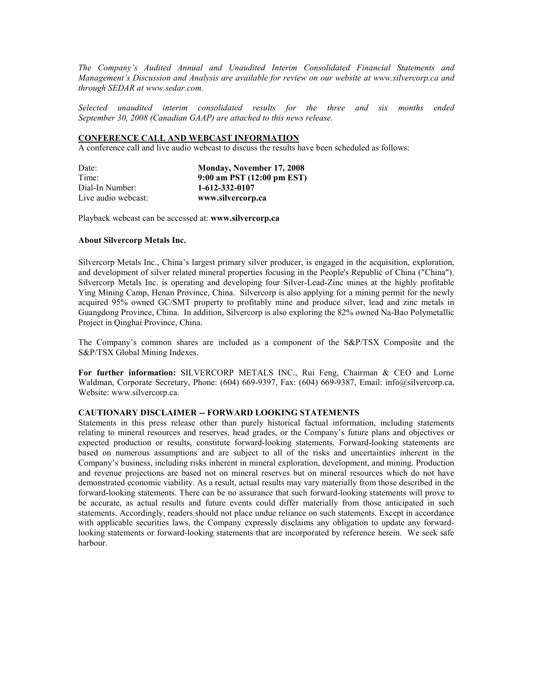*The Company's Audited Annual and Unaudited Interim Consolidated Financial Statements and Management's Discussion and Analysis are available for review on our website at www.silvercorp.ca and through SEDAR at www.sedar.com.* 

*Selected unaudited interim consolidated results for the three and six months ended September 30, 2008 (Canadian GAAP) are attached to this news release.* 

## **CONFERENCE CALL AND WEBCAST INFORMATION**

A conference call and live audio webcast to discuss the results have been scheduled as follows:

| Date:               | Monday, November 17, 2008  |
|---------------------|----------------------------|
| Time:               | 9:00 am PST (12:00 pm EST) |
| Dial-In Number:     | 1-612-332-0107             |
| Live audio webcast: | www.silvercorp.ca          |

Playback webcast can be accessed at: **www.silvercorp.ca**

#### **About Silvercorp Metals Inc.**

Silvercorp Metals Inc., China's largest primary silver producer, is engaged in the acquisition, exploration, and development of silver related mineral properties focusing in the People's Republic of China ("China"). Silvercorp Metals Inc. is operating and developing four Silver-Lead-Zinc mines at the highly profitable Ying Mining Camp, Henan Province, China. Silvercorp is also applying for a mining permit for the newly acquired 95% owned GC/SMT property to profitably mine and produce silver, lead and zinc metals in Guangdong Province, China. In addition, Silvercorp is also exploring the 82% owned Na-Bao Polymetallic Project in Qinghai Province, China.

The Company's common shares are included as a component of the S&P/TSX Composite and the S&P/TSX Global Mining Indexes.

**For further information:** SILVERCORP METALS INC., Rui Feng, Chairman & CEO and Lorne Waldman, Corporate Secretary, Phone: (604) 669-9397, Fax: (604) 669-9387, Email: info@silvercorp.ca, Website: www.silvercorp.ca.

#### **CAUTIONARY DISCLAIMER -- FORWARD LOOKING STATEMENTS**

Statements in this press release other than purely historical factual information, including statements relating to mineral resources and reserves, head grades, or the Company's future plans and objectives or expected production or results, constitute forward-looking statements. Forward-looking statements are based on numerous assumptions and are subject to all of the risks and uncertainties inherent in the Company's business, including risks inherent in mineral exploration, development, and mining. Production and revenue projections are based not on mineral reserves but on mineral resources which do not have demonstrated economic viability. As a result, actual results may vary materially from those described in the forward-looking statements. There can be no assurance that such forward-looking statements will prove to be accurate, as actual results and future events could differ materially from those anticipated in such statements. Accordingly, readers should not place undue reliance on such statements. Except in accordance with applicable securities laws, the Company expressly disclaims any obligation to update any forwardlooking statements or forward-looking statements that are incorporated by reference herein. We seek safe harbour.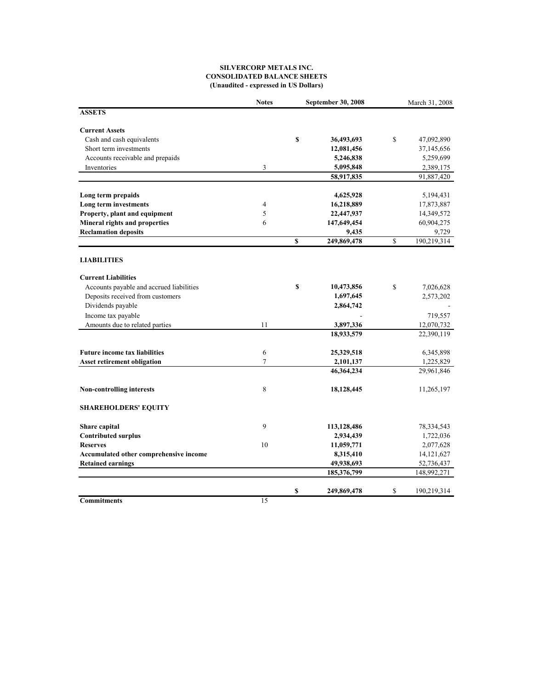### **SILVERCORP METALS INC. CONSOLIDATED BALANCE SHEETS (Unaudited - expressed in US Dollars)**

|                                          | <b>Notes</b> |             | September 30, 2008 | March 31, 2008    |
|------------------------------------------|--------------|-------------|--------------------|-------------------|
| <b>ASSETS</b>                            |              |             |                    |                   |
| <b>Current Assets</b>                    |              |             |                    |                   |
| Cash and cash equivalents                |              | \$          | 36,493,693         | \$<br>47,092,890  |
| Short term investments                   |              |             | 12,081,456         | 37,145,656        |
| Accounts receivable and prepaids         |              |             | 5,246,838          | 5,259,699         |
| Inventories                              | 3            |             | 5,095,848          | 2,389,175         |
|                                          |              |             | 58,917,835         | 91,887,420        |
| Long term prepaids                       |              |             | 4,625,928          | 5,194,431         |
| Long term investments                    | 4            |             | 16,218,889         | 17,873,887        |
| Property, plant and equipment            | 5            |             | 22,447,937         | 14,349,572        |
| Mineral rights and properties            | 6            |             | 147,649,454        | 60,904,275        |
| <b>Reclamation deposits</b>              |              |             | 9,435              | 9,729             |
|                                          |              | $\mathbf S$ | 249,869,478        | \$<br>190,219,314 |
| <b>LIABILITIES</b>                       |              |             |                    |                   |
| <b>Current Liabilities</b>               |              |             |                    |                   |
| Accounts payable and accrued liabilities |              | \$          | 10,473,856         | \$<br>7,026,628   |
| Deposits received from customers         |              |             | 1,697,645          | 2,573,202         |
| Dividends payable                        |              |             | 2,864,742          |                   |
| Income tax payable                       |              |             |                    | 719,557           |
| Amounts due to related parties           | 11           |             | 3,897,336          | 12,070,732        |
|                                          |              |             | 18,933,579         | 22,390,119        |
| <b>Future income tax liabilities</b>     | 6            |             | 25,329,518         | 6,345,898         |
| <b>Asset retirement obligation</b>       | 7            |             | 2,101,137          | 1,225,829         |
|                                          |              |             | 46,364,234         | 29,961,846        |
| <b>Non-controlling interests</b>         | 8            |             | 18,128,445         | 11,265,197        |
| <b>SHAREHOLDERS' EQUITY</b>              |              |             |                    |                   |
| Share capital                            | 9            |             | 113,128,486        | 78, 334, 543      |
| <b>Contributed surplus</b>               |              |             | 2,934,439          | 1,722,036         |
| <b>Reserves</b>                          | 10           |             | 11,059,771         | 2,077,628         |
| Accumulated other comprehensive income   |              |             | 8,315,410          | 14, 121, 627      |
| <b>Retained earnings</b>                 |              |             | 49,938,693         | 52,736,437        |
|                                          |              |             | 185,376,799        | 148,992,271       |
|                                          |              | \$          | 249,869,478        | \$<br>190,219,314 |
| <b>Commitments</b>                       | 15           |             |                    |                   |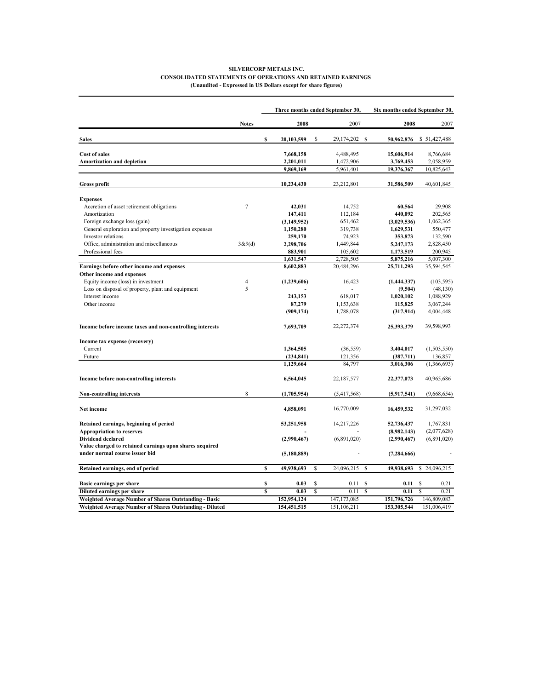#### **(Unaudited - Expressed in US Dollars except for share figures) SILVERCORP METALS INC. CONSOLIDATED STATEMENTS OF OPERATIONS AND RETAINED EARNINGS**

|                                                              |                |                         | Three months ended September 30, |    |                    | Six months ended September 30, |                                 |  |
|--------------------------------------------------------------|----------------|-------------------------|----------------------------------|----|--------------------|--------------------------------|---------------------------------|--|
|                                                              | <b>Notes</b>   |                         | 2008                             |    | 2007               | 2008                           | 2007                            |  |
| <b>Sales</b>                                                 |                | s                       | 20,103,599                       | \$ | 29,174,202<br>- \$ | 50,962,876                     | \$51,427,488                    |  |
| <b>Cost of sales</b>                                         |                |                         | 7,668,158                        |    | 4,488,495          | 15,606,914                     | 8,766,684                       |  |
| Amortization and depletion                                   |                |                         | 2,201,011                        |    | 1,472,906          | 3,769,453                      | 2,058,959                       |  |
|                                                              |                |                         | 9,869,169                        |    | 5,961,401          | 19,376,367                     | 10,825,643                      |  |
| <b>Gross profit</b>                                          |                |                         | 10,234,430                       |    | 23,212,801         | 31,586,509                     | 40,601,845                      |  |
| <b>Expenses</b>                                              |                |                         |                                  |    |                    |                                |                                 |  |
| Accretion of asset retirement obligations                    | $\tau$         |                         | 42,031                           |    | 14,752             | 60,564                         | 29,908                          |  |
| Amortization                                                 |                |                         | 147,411                          |    | 112,184            | 440,092                        | 202,565                         |  |
| Foreign exchange loss (gain)                                 |                |                         | (3,149,952)                      |    | 651,462            | (3,029,536)                    | 1,062,365                       |  |
| General exploration and property investigation expenses      |                |                         | 1,150,280                        |    | 319,738            | 1,629,531                      | 550,477                         |  |
| Investor relations                                           |                |                         | 259,170                          |    | 74,923             | 353,873                        | 132,590                         |  |
| Office, administration and miscellaneous                     | 3&9(d)         |                         | 2,298,706                        |    | 1,449,844          | 5,247,173                      | 2,828,450                       |  |
| Professional fees                                            |                |                         | 883,901                          |    | 105,602            | 1,173,519                      | 200,945                         |  |
|                                                              |                |                         | 1,631,547                        |    | 2,728,505          | 5,875,216                      | 5,007,300                       |  |
| Earnings before other income and expenses                    |                |                         | 8,602,883                        |    | 20,484,296         | 25,711,293                     | 35,594,545                      |  |
| Other income and expenses                                    |                |                         |                                  |    |                    |                                |                                 |  |
| Equity income (loss) in investment                           | $\overline{4}$ |                         | (1,239,606)                      |    | 16,423             | (1,444,337)                    | (103, 595)                      |  |
| Loss on disposal of property, plant and equipment            | 5              |                         |                                  |    |                    | (9, 504)                       | (48, 130)                       |  |
| Interest income                                              |                |                         | 243,153                          |    | 618,017            | 1,020,102                      | 1,088,929                       |  |
| Other income                                                 |                |                         | 87,279                           |    | 1,153,638          | 115,825                        | 3,067,244                       |  |
|                                                              |                |                         | (909, 174)                       |    | 1,788,078          | (317, 914)                     | 4,004,448                       |  |
| Income before income taxes and non-controlling interests     |                |                         | 7,693,709                        |    | 22,272,374         | 25,393,379                     | 39,598,993                      |  |
| Income tax expense (recovery)                                |                |                         |                                  |    |                    |                                |                                 |  |
| Current                                                      |                |                         | 1,364,505                        |    | (36, 559)          | 3,404,017                      | (1,503,550)                     |  |
| Future                                                       |                |                         | (234, 841)                       |    | 121,356            | (387,711)                      | 136,857                         |  |
|                                                              |                |                         | 1,129,664                        |    | 84,797             | 3,016,306                      | (1,366,693)                     |  |
| Income before non-controlling interests                      |                |                         | 6,564,045                        |    | 22, 187, 577       | 22,377,073                     | 40,965,686                      |  |
| <b>Non-controlling interests</b>                             | 8              |                         | (1,705,954)                      |    | (5,417,568)        | (5,917,541)                    | (9,668,654)                     |  |
| Net income                                                   |                |                         | 4,858,091                        |    | 16,770,009         | 16,459,532                     | 31,297,032                      |  |
| Retained earnings, beginning of period                       |                |                         | 53,251,958                       |    | 14,217,226         | 52,736,437                     | 1,767,831                       |  |
| <b>Appropriation to reserves</b>                             |                |                         |                                  |    |                    | (8,982,143)                    | (2,077,628)                     |  |
| <b>Dividend declared</b>                                     |                |                         | (2,990,467)                      |    | (6,891,020)        | (2,990,467)                    | (6,891,020)                     |  |
| Value charged to retained earnings upon shares acquired      |                |                         |                                  |    |                    |                                |                                 |  |
| under normal course issuer bid                               |                |                         | (5,180,889)                      |    |                    | (7, 284, 666)                  |                                 |  |
| Retained earnings, end of period                             |                | \$                      | 49,938,693                       | \$ | 24,096,215<br>S    | 49,938,693                     | \$<br>24,096,215                |  |
| Basic earnings per share                                     |                | \$                      | 0.03                             | S  | 0.11<br>S          | 0.11                           | <sup>\$</sup><br>0.21           |  |
| Diluted earnings per share                                   |                | $\overline{\mathbf{s}}$ | 0.03                             | \$ | \$<br>0.11         | 0.11                           | $\overline{\mathbf{s}}$<br>0.21 |  |
| <b>Weighted Average Number of Shares Outstanding - Basic</b> |                |                         | 152,954,124                      |    | 147, 173, 085      | 151,796,726                    | 146,809,083                     |  |
| Weighted Average Number of Shares Outstanding - Diluted      |                |                         | 154,451,515                      |    | 151,106,211        | 153,305,544                    | 151,006,419                     |  |
|                                                              |                |                         |                                  |    |                    |                                |                                 |  |